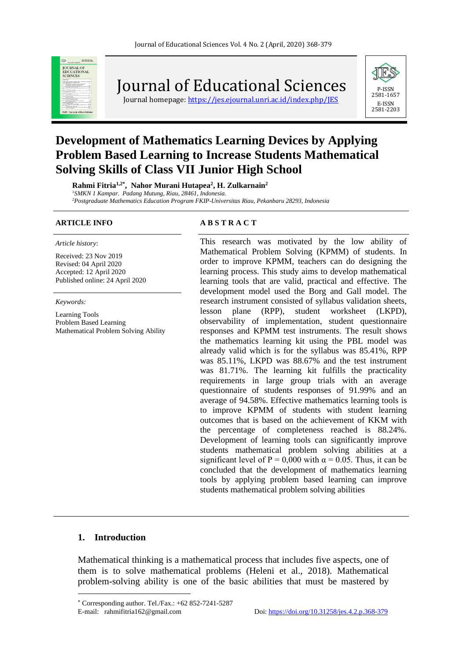

Journal of Educational Sciences

Journal homepage: https://jes.ejournal.unri.ac.id/index.php/IES



# **Development of Mathematics Learning Devices by Applying Problem Based Learning to Increase Students Mathematical Solving Skills of Class VII Junior High School**

**Rahmi Fitria1,2\* , Nahor Murani Hutapea<sup>2</sup> , H. Zulkarnain<sup>2</sup>** *<sup>1</sup>SMKN 1 Kampar. Padang Mutung, Riau, 28461, Indonesia. <sup>2</sup>Postgraduate Mathematics Education Program FKIP-Universitas Riau, Pekanbaru 28293, Indonesia*

*Article history*:

Received: 23 Nov 2019 Revised: 04 April 2020 Accepted: 12 April 2020 Published online: 24 April 2020

*Keywords:*

Learning Tools Problem Based Learning Mathematical Problem Solving Ability

#### **ARTICLE INFO A B S T R A C T**

This research was motivated by the low ability of Mathematical Problem Solving (KPMM) of students. In order to improve KPMM, teachers can do designing the learning process. This study aims to develop mathematical learning tools that are valid, practical and effective. The development model used the Borg and Gall model. The research instrument consisted of syllabus validation sheets, lesson plane (RPP), student worksheet (LKPD), observability of implementation, student questionnaire responses and KPMM test instruments. The result shows the mathematics learning kit using the PBL model was already valid which is for the syllabus was 85.41%, RPP was 85.11%, LKPD was 88.67% and the test instrument was 81.71%. The learning kit fulfills the practicality requirements in large group trials with an average questionnaire of students responses of 91.99% and an average of 94.58%. Effective mathematics learning tools is to improve KPMM of students with student learning outcomes that is based on the achievement of KKM with the percentage of completeness reached is 88.24%. Development of learning tools can significantly improve students mathematical problem solving abilities at a significant level of P = 0,000 with  $\alpha$  = 0.05. Thus, it can be concluded that the development of mathematics learning tools by applying problem based learning can improve students mathematical problem solving abilities

#### **1. Introduction**

Mathematical thinking is a mathematical process that includes five aspects, one of them is to solve mathematical problems (Heleni et al., 2018). Mathematical problem-solving ability is one of the basic abilities that must be mastered by

Corresponding author. Tel./Fax.: +62 852-7241-5287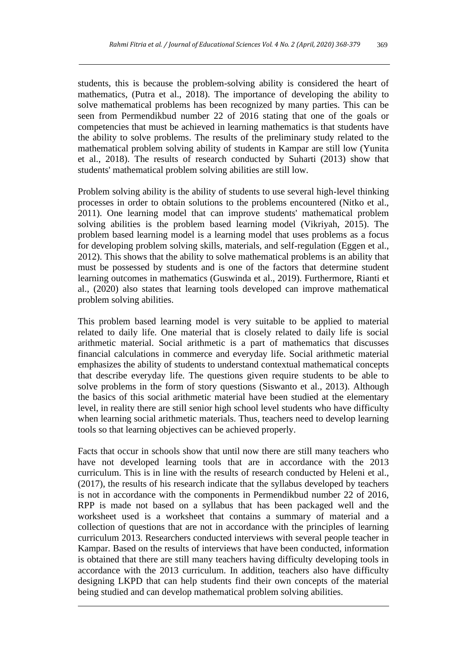students, this is because the problem-solving ability is considered the heart of mathematics, (Putra et al., 2018). The importance of developing the ability to solve mathematical problems has been recognized by many parties. This can be seen from Permendikbud number 22 of 2016 stating that one of the goals or competencies that must be achieved in learning mathematics is that students have the ability to solve problems. The results of the preliminary study related to the mathematical problem solving ability of students in Kampar are still low (Yunita et al., 2018). The results of research conducted by Suharti (2013) show that students' mathematical problem solving abilities are still low.

Problem solving ability is the ability of students to use several high-level thinking processes in order to obtain solutions to the problems encountered (Nitko et al., 2011). One learning model that can improve students' mathematical problem solving abilities is the problem based learning model (Vikriyah, 2015). The problem based learning model is a learning model that uses problems as a focus for developing problem solving skills, materials, and self-regulation (Eggen et al., 2012). This shows that the ability to solve mathematical problems is an ability that must be possessed by students and is one of the factors that determine student learning outcomes in mathematics (Guswinda et al., 2019). Furthermore, Rianti et al., (2020) also states that learning tools developed can improve mathematical problem solving abilities.

This problem based learning model is very suitable to be applied to material related to daily life. One material that is closely related to daily life is social arithmetic material. Social arithmetic is a part of mathematics that discusses financial calculations in commerce and everyday life. Social arithmetic material emphasizes the ability of students to understand contextual mathematical concepts that describe everyday life. The questions given require students to be able to solve problems in the form of story questions (Siswanto et al., 2013). Although the basics of this social arithmetic material have been studied at the elementary level, in reality there are still senior high school level students who have difficulty when learning social arithmetic materials. Thus, teachers need to develop learning tools so that learning objectives can be achieved properly.

Facts that occur in schools show that until now there are still many teachers who have not developed learning tools that are in accordance with the 2013 curriculum. This is in line with the results of research conducted by Heleni et al., (2017), the results of his research indicate that the syllabus developed by teachers is not in accordance with the components in Permendikbud number 22 of 2016, RPP is made not based on a syllabus that has been packaged well and the worksheet used is a worksheet that contains a summary of material and a collection of questions that are not in accordance with the principles of learning curriculum 2013. Researchers conducted interviews with several people teacher in Kampar. Based on the results of interviews that have been conducted, information is obtained that there are still many teachers having difficulty developing tools in accordance with the 2013 curriculum. In addition, teachers also have difficulty designing LKPD that can help students find their own concepts of the material being studied and can develop mathematical problem solving abilities.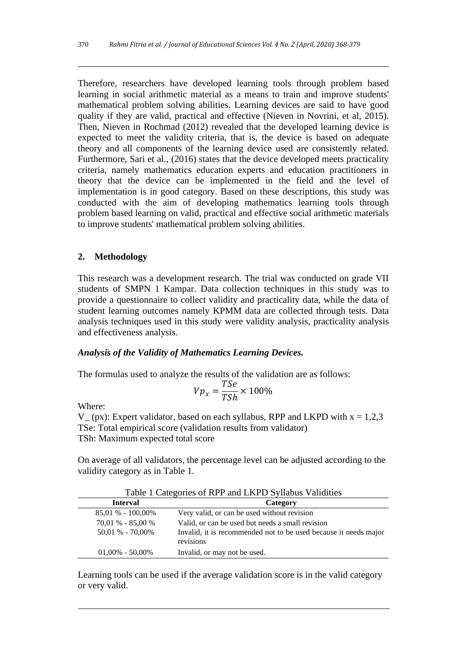Therefore, researchers have developed learning tools through problem based learning in social arithmetic material as a means to train and improve students' mathematical problem solving abilities. Learning devices are said to have good quality if they are valid, practical and effective (Nieven in Novrini, et al, 2015). Then, Nieven in Rochmad (2012) revealed that the developed learning device is expected to meet the validity criteria, that is, the device is based on adequate theory and all components of the learning device used are consistently related. Furthermore, Sari et al., (2016) states that the device developed meets practicality criteria, namely mathematics education experts and education practitioners in theory that the device can be implemented in the field and the level of implementation is in good category. Based on these descriptions, this study was conducted with the aim of developing mathematics learning tools through problem based learning on valid, practical and effective social arithmetic materials to improve students' mathematical problem solving abilities.

#### **2. Methodology**

This research was a development research. The trial was conducted on grade VII students of SMPN 1 Kampar. Data collection techniques in this study was to provide a questionnaire to collect validity and practicality data, while the data of student learning outcomes namely KPMM data are collected through tests. Data analysis techniques used in this study were validity analysis, practicality analysis and effectiveness analysis.

#### *Analysis of the Validity of Mathematics Learning Devices.*

The formulas used to analyze the results of the validation are as follows:

$$
Vp_x = \frac{TSe}{TSh} \times 100\%
$$

Where:

 $V_{-}$  (px): Expert validator, based on each syllabus, RPP and LKPD with  $x = 1,2,3$ TSe: Total empirical score (validation results from validator) TSh: Maximum expected total score

On average of all validators, the percentage level can be adjusted according to the validity category as in Table 1.

| Table 1 Calegories of KET and LKI D Synabus Vandrues |                                                                               |  |
|------------------------------------------------------|-------------------------------------------------------------------------------|--|
| Interval                                             | Category                                                                      |  |
| $85.01\% - 100.00\%$                                 | Very valid, or can be used without revision                                   |  |
| $70,01\% - 85,00\%$                                  | Valid, or can be used but needs a small revision                              |  |
| $50,01\%$ - $70,00\%$                                | Invalid, it is recommended not to be used because it needs major<br>revisions |  |
| $01,00\% - 50,00\%$                                  | Invalid, or may not be used.                                                  |  |

Table 1 Categories of RPP and LKPD Syllabus Validities

Learning tools can be used if the average validation score is in the valid category or very valid.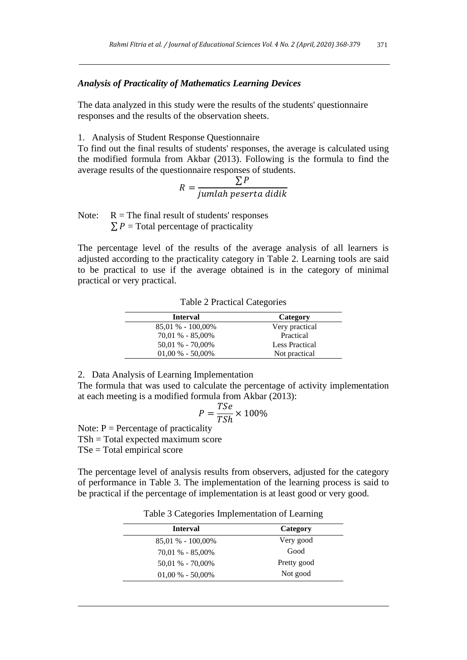#### *Analysis of Practicality of Mathematics Learning Devices*

The data analyzed in this study were the results of the students' questionnaire responses and the results of the observation sheets.

1. Analysis of Student Response Questionnaire

To find out the final results of students' responses, the average is calculated using the modified formula from Akbar (2013). Following is the formula to find the average results of the questionnaire responses of students.

$$
R = \frac{\sum P}{jumlah peserta didik}
$$

Note:  $R =$ The final result of students' responses

 $\sum P$  = Total percentage of practicality

The percentage level of the results of the average analysis of all learners is adjusted according to the practicality category in Table 2. Learning tools are said to be practical to use if the average obtained is in the category of minimal practical or very practical.

| <b>Interval</b>      | Category       |
|----------------------|----------------|
| $85.01\% - 100.00\%$ | Very practical |
| $70.01 % - 85.00%$   | Practical      |
| $50.01 % -70.00%$    | Less Practical |
| $01,00\%$ - 50,00%   | Not practical  |

Table 2 Practical Categories

2. Data Analysis of Learning Implementation

The formula that was used to calculate the percentage of activity implementation at each meeting is a modified formula from Akbar (2013):

$$
P = \frac{TSe}{TSh} \times 100\%
$$

Note:  $P =$  Percentage of practicality

TSh = Total expected maximum score

TSe = Total empirical score

The percentage level of analysis results from observers, adjusted for the category of performance in Table 3. The implementation of the learning process is said to be practical if the percentage of implementation is at least good or very good.

Table 3 Categories Implementation of Learning

| <b>Interval</b>      | Category    |
|----------------------|-------------|
| $85.01\% - 100.00\%$ | Very good   |
| $70.01 % - 85.00%$   | Good        |
| $50.01 % -70.00%$    | Pretty good |
| $01,00\%$ - 50,00%   | Not good    |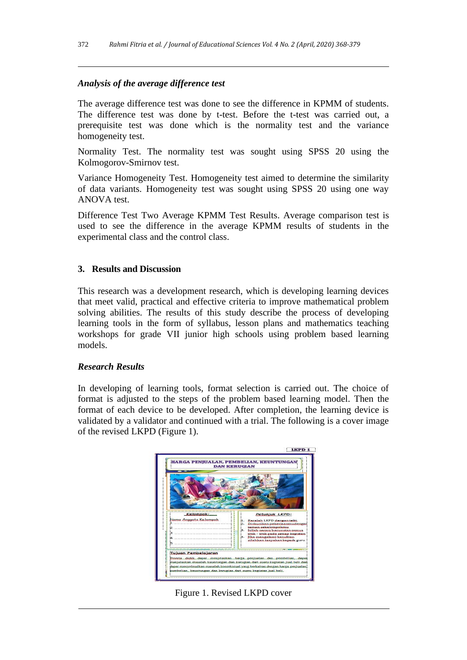# *Analysis of the average difference test*

The average difference test was done to see the difference in KPMM of students. The difference test was done by t-test. Before the t-test was carried out, a prerequisite test was done which is the normality test and the variance homogeneity test.

Normality Test. The normality test was sought using SPSS 20 using the Kolmogorov-Smirnov test.

Variance Homogeneity Test. Homogeneity test aimed to determine the similarity of data variants. Homogeneity test was sought using SPSS 20 using one way ANOVA test.

Difference Test Two Average KPMM Test Results. Average comparison test is used to see the difference in the average KPMM results of students in the experimental class and the control class.

# **3. Results and Discussion**

This research was a development research, which is developing learning devices that meet valid, practical and effective criteria to improve mathematical problem solving abilities. The results of this study describe the process of developing learning tools in the form of syllabus, lesson plans and mathematics teaching workshops for grade VII junior high schools using problem based learning models.

# *Research Results*

In developing of learning tools, format selection is carried out. The choice of format is adjusted to the steps of the problem based learning model. Then the format of each device to be developed. After completion, the learning device is validated by a validator and continued with a trial. The following is a cover image of the revised LKPD (Figure 1).



Figure 1. Revised LKPD cover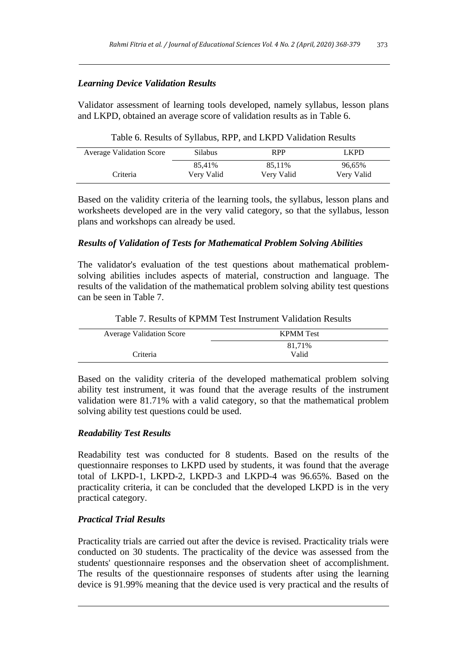# *Learning Device Validation Results*

Validator assessment of learning tools developed, namely syllabus, lesson plans and LKPD, obtained an average score of validation results as in Table 6.

|  |  | Table 6. Results of Syllabus, RPP, and LKPD Validation Results |  |  |
|--|--|----------------------------------------------------------------|--|--|
|--|--|----------------------------------------------------------------|--|--|

| <b>Average Validation Score</b> | <b>Silabus</b> | <b>RPP</b> | LKPD       |
|---------------------------------|----------------|------------|------------|
|                                 | 85.41%         | 85.11%     | 96.65%     |
| Criteria                        | Very Valid     | Very Valid | Very Valid |

Based on the validity criteria of the learning tools, the syllabus, lesson plans and worksheets developed are in the very valid category, so that the syllabus, lesson plans and workshops can already be used.

# *Results of Validation of Tests for Mathematical Problem Solving Abilities*

The validator's evaluation of the test questions about mathematical problemsolving abilities includes aspects of material, construction and language. The results of the validation of the mathematical problem solving ability test questions can be seen in Table 7.

| <b>Average Validation Score</b> | <b>KPMM</b> Test |
|---------------------------------|------------------|
|                                 | 81,71%           |
| Criteria                        | Valid            |

Table 7. Results of KPMM Test Instrument Validation Results

Based on the validity criteria of the developed mathematical problem solving ability test instrument, it was found that the average results of the instrument validation were 81.71% with a valid category, so that the mathematical problem solving ability test questions could be used.

# *Readability Test Results*

Readability test was conducted for 8 students. Based on the results of the questionnaire responses to LKPD used by students, it was found that the average total of LKPD-1, LKPD-2, LKPD-3 and LKPD-4 was 96.65%. Based on the practicality criteria, it can be concluded that the developed LKPD is in the very practical category.

# *Practical Trial Results*

Practicality trials are carried out after the device is revised. Practicality trials were conducted on 30 students. The practicality of the device was assessed from the students' questionnaire responses and the observation sheet of accomplishment. The results of the questionnaire responses of students after using the learning device is 91.99% meaning that the device used is very practical and the results of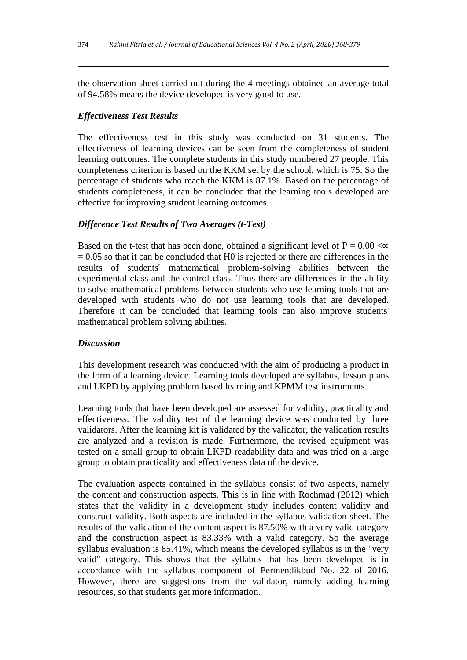the observation sheet carried out during the 4 meetings obtained an average total of 94.58% means the device developed is very good to use.

#### *Effectiveness Test Results*

The effectiveness test in this study was conducted on 31 students. The effectiveness of learning devices can be seen from the completeness of student learning outcomes. The complete students in this study numbered 27 people. This completeness criterion is based on the KKM set by the school, which is 75. So the percentage of students who reach the KKM is 87.1%. Based on the percentage of students completeness, it can be concluded that the learning tools developed are effective for improving student learning outcomes.

# *Difference Test Results of Two Averages (t-Test)*

Based on the t-test that has been done, obtained a significant level of  $P = 0.00 < \alpha$  $= 0.05$  so that it can be concluded that H0 is rejected or there are differences in the results of students' mathematical problem-solving abilities between the experimental class and the control class. Thus there are differences in the ability to solve mathematical problems between students who use learning tools that are developed with students who do not use learning tools that are developed. Therefore it can be concluded that learning tools can also improve students' mathematical problem solving abilities.

# *Discussion*

This development research was conducted with the aim of producing a product in the form of a learning device. Learning tools developed are syllabus, lesson plans and LKPD by applying problem based learning and KPMM test instruments.

Learning tools that have been developed are assessed for validity, practicality and effectiveness. The validity test of the learning device was conducted by three validators. After the learning kit is validated by the validator, the validation results are analyzed and a revision is made. Furthermore, the revised equipment was tested on a small group to obtain LKPD readability data and was tried on a large group to obtain practicality and effectiveness data of the device.

The evaluation aspects contained in the syllabus consist of two aspects, namely the content and construction aspects. This is in line with Rochmad (2012) which states that the validity in a development study includes content validity and construct validity. Both aspects are included in the syllabus validation sheet. The results of the validation of the content aspect is 87.50% with a very valid category and the construction aspect is 83.33% with a valid category. So the average syllabus evaluation is 85.41%, which means the developed syllabus is in the "very valid" category. This shows that the syllabus that has been developed is in accordance with the syllabus component of Permendikbud No. 22 of 2016. However, there are suggestions from the validator, namely adding learning resources, so that students get more information.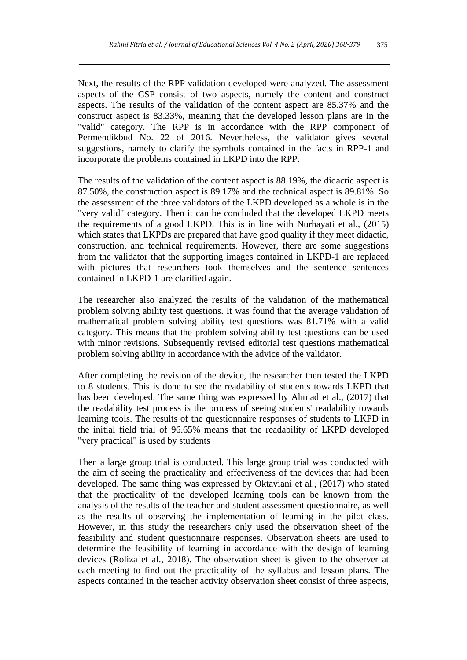Next, the results of the RPP validation developed were analyzed. The assessment aspects of the CSP consist of two aspects, namely the content and construct aspects. The results of the validation of the content aspect are 85.37% and the construct aspect is 83.33%, meaning that the developed lesson plans are in the "valid" category. The RPP is in accordance with the RPP component of Permendikbud No. 22 of 2016. Nevertheless, the validator gives several suggestions, namely to clarify the symbols contained in the facts in RPP-1 and incorporate the problems contained in LKPD into the RPP.

The results of the validation of the content aspect is 88.19%, the didactic aspect is 87.50%, the construction aspect is 89.17% and the technical aspect is 89.81%. So the assessment of the three validators of the LKPD developed as a whole is in the "very valid" category. Then it can be concluded that the developed LKPD meets the requirements of a good LKPD. This is in line with Nurhayati et al., (2015) which states that LKPDs are prepared that have good quality if they meet didactic, construction, and technical requirements. However, there are some suggestions from the validator that the supporting images contained in LKPD-1 are replaced with pictures that researchers took themselves and the sentence sentences contained in LKPD-1 are clarified again.

The researcher also analyzed the results of the validation of the mathematical problem solving ability test questions. It was found that the average validation of mathematical problem solving ability test questions was 81.71% with a valid category. This means that the problem solving ability test questions can be used with minor revisions. Subsequently revised editorial test questions mathematical problem solving ability in accordance with the advice of the validator.

After completing the revision of the device, the researcher then tested the LKPD to 8 students. This is done to see the readability of students towards LKPD that has been developed. The same thing was expressed by Ahmad et al., (2017) that the readability test process is the process of seeing students' readability towards learning tools. The results of the questionnaire responses of students to LKPD in the initial field trial of 96.65% means that the readability of LKPD developed "very practical" is used by students

Then a large group trial is conducted. This large group trial was conducted with the aim of seeing the practicality and effectiveness of the devices that had been developed. The same thing was expressed by Oktaviani et al., (2017) who stated that the practicality of the developed learning tools can be known from the analysis of the results of the teacher and student assessment questionnaire, as well as the results of observing the implementation of learning in the pilot class. However, in this study the researchers only used the observation sheet of the feasibility and student questionnaire responses. Observation sheets are used to determine the feasibility of learning in accordance with the design of learning devices (Roliza et al., 2018). The observation sheet is given to the observer at each meeting to find out the practicality of the syllabus and lesson plans. The aspects contained in the teacher activity observation sheet consist of three aspects,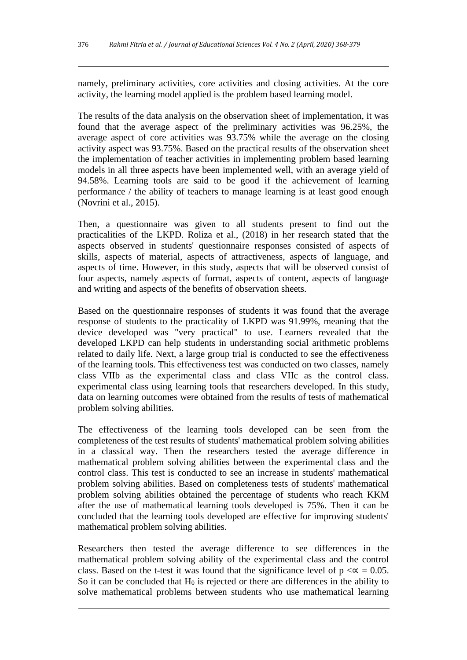namely, preliminary activities, core activities and closing activities. At the core activity, the learning model applied is the problem based learning model.

The results of the data analysis on the observation sheet of implementation, it was found that the average aspect of the preliminary activities was 96.25%, the average aspect of core activities was 93.75% while the average on the closing activity aspect was 93.75%. Based on the practical results of the observation sheet the implementation of teacher activities in implementing problem based learning models in all three aspects have been implemented well, with an average yield of 94.58%. Learning tools are said to be good if the achievement of learning performance / the ability of teachers to manage learning is at least good enough (Novrini et al., 2015).

Then, a questionnaire was given to all students present to find out the practicalities of the LKPD. Roliza et al., (2018) in her research stated that the aspects observed in students' questionnaire responses consisted of aspects of skills, aspects of material, aspects of attractiveness, aspects of language, and aspects of time. However, in this study, aspects that will be observed consist of four aspects, namely aspects of format, aspects of content, aspects of language and writing and aspects of the benefits of observation sheets.

Based on the questionnaire responses of students it was found that the average response of students to the practicality of LKPD was 91.99%, meaning that the device developed was "very practical" to use. Learners revealed that the developed LKPD can help students in understanding social arithmetic problems related to daily life. Next, a large group trial is conducted to see the effectiveness of the learning tools. This effectiveness test was conducted on two classes, namely class VIIb as the experimental class and class VIIc as the control class. experimental class using learning tools that researchers developed. In this study, data on learning outcomes were obtained from the results of tests of mathematical problem solving abilities.

The effectiveness of the learning tools developed can be seen from the completeness of the test results of students' mathematical problem solving abilities in a classical way. Then the researchers tested the average difference in mathematical problem solving abilities between the experimental class and the control class. This test is conducted to see an increase in students' mathematical problem solving abilities. Based on completeness tests of students' mathematical problem solving abilities obtained the percentage of students who reach KKM after the use of mathematical learning tools developed is 75%. Then it can be concluded that the learning tools developed are effective for improving students' mathematical problem solving abilities.

Researchers then tested the average difference to see differences in the mathematical problem solving ability of the experimental class and the control class. Based on the t-test it was found that the significance level of  $p < \alpha = 0.05$ . So it can be concluded that  $H_0$  is rejected or there are differences in the ability to solve mathematical problems between students who use mathematical learning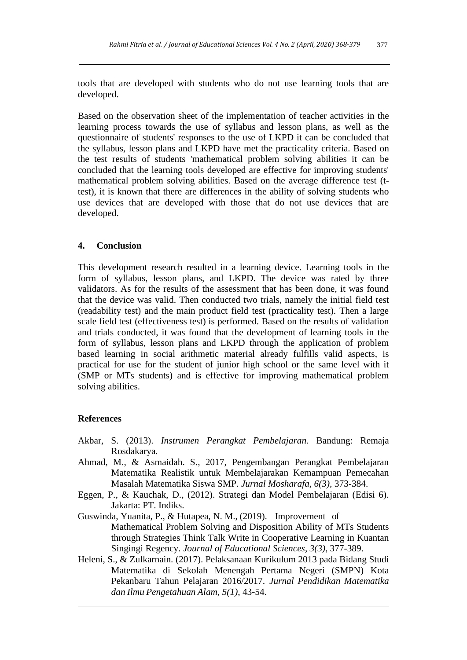tools that are developed with students who do not use learning tools that are developed.

Based on the observation sheet of the implementation of teacher activities in the learning process towards the use of syllabus and lesson plans, as well as the questionnaire of students' responses to the use of LKPD it can be concluded that the syllabus, lesson plans and LKPD have met the practicality criteria. Based on the test results of students 'mathematical problem solving abilities it can be concluded that the learning tools developed are effective for improving students' mathematical problem solving abilities. Based on the average difference test (ttest), it is known that there are differences in the ability of solving students who use devices that are developed with those that do not use devices that are developed.

#### **4. Conclusion**

This development research resulted in a learning device. Learning tools in the form of syllabus, lesson plans, and LKPD. The device was rated by three validators. As for the results of the assessment that has been done, it was found that the device was valid. Then conducted two trials, namely the initial field test (readability test) and the main product field test (practicality test). Then a large scale field test (effectiveness test) is performed. Based on the results of validation and trials conducted, it was found that the development of learning tools in the form of syllabus, lesson plans and LKPD through the application of problem based learning in social arithmetic material already fulfills valid aspects, is practical for use for the student of junior high school or the same level with it (SMP or MTs students) and is effective for improving mathematical problem solving abilities.

#### **References**

- Akbar, S. (2013). *Instrumen Perangkat Pembelajaran.* Bandung: Remaja Rosdakarya.
- Ahmad, M., & Asmaidah. S., 2017, Pengembangan Perangkat Pembelajaran Matematika Realistik untuk Membelajarakan Kemampuan Pemecahan Masalah Matematika Siswa SMP. *Jurnal Mosharafa*, *6(3),* 373-384.
- Eggen, P., & Kauchak, D., (2012). Strategi dan Model Pembelajaran (Edisi 6). Jakarta: PT. Indiks.
- Guswinda, Yuanita, P., & Hutapea, N. M., (2019). Improvement of Mathematical Problem Solving and Disposition Ability of MTs Students through Strategies Think Talk Write in Cooperative Learning in Kuantan Singingi Regency. *Journal of Educational Sciences, 3(3),* 377-389.
- Heleni, S., & Zulkarnain. (2017). Pelaksanaan Kurikulum 2013 pada Bidang Studi Matematika di Sekolah Menengah Pertama Negeri (SMPN) Kota Pekanbaru Tahun Pelajaran 2016/2017. *Jurnal Pendidikan Matematika dan Ilmu Pengetahuan Alam*, *5(1)*, 43-54.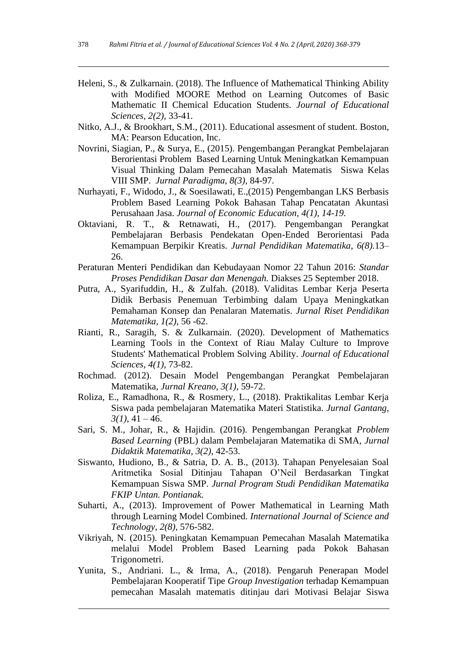- Heleni, S., & Zulkarnain. (2018). The Influence of Mathematical Thinking Ability with Modified MOORE Method on Learning Outcomes of Basic Mathematic II Chemical Education Students. *Journal of Educational Sciences, 2(2),* 33-41.
- Nitko, A.J., & Brookhart, S.M., (2011). Educational assesment of student. Boston, MA: Pearson Education, Inc.
- Novrini, Siagian, P., & Surya, E., (2015). Pengembangan Perangkat Pembelajaran Berorientasi Problem Based Learning Untuk Meningkatkan Kemampuan Visual Thinking Dalam Pemecahan Masalah Matematis Siswa Kelas VIII SMP. *Jurnal Paradigma*, *8(3),* 84-97.
- Nurhayati, F., Widodo, J., & Soesilawati, E.,(2015) Pengembangan LKS Berbasis Problem Based Learning Pokok Bahasan Tahap Pencatatan Akuntasi Perusahaan Jasa. *Journal of Economic Education, 4(1), 14-19.*
- Oktaviani, R. T., & Retnawati, H., (2017). Pengembangan Perangkat Pembelajaran Berbasis Pendekatan Open-Ended Berorientasi Pada Kemampuan Berpikir Kreatis. *Jurnal Pendidikan Matematika*, *6(8).*13– 26.
- Peraturan Menteri Pendidikan dan Kebudayaan Nomor 22 Tahun 2016: *Standar Proses Pendidikan Dasar dan Menengah.* Diakses 25 September 2018.
- Putra, A., Syarifuddin, H., & Zulfah. (2018). Validitas Lembar Kerja Peserta Didik Berbasis Penemuan Terbimbing dalam Upaya Meningkatkan Pemahaman Konsep dan Penalaran Matematis. *Jurnal Riset Pendidikan Matematika, 1(2)*, 56 -62.
- Rianti, R., Saragih, S. & Zulkarnain. (2020). Development of Mathematics Learning Tools in the Context of Riau Malay Culture to Improve Students' Mathematical Problem Solving Ability. *Journal of Educational Sciences*, *4(1)*, 73-82.
- Rochmad. (2012). Desain Model Pengembangan Perangkat Pembelajaran Matematika, *Jurnal Kreano, 3(1)*, 59-72.
- Roliza, E., Ramadhona, R., & Rosmery, L., (2018). Praktikalitas Lembar Kerja Siswa pada pembelajaran Matematika Materi Statistika. *Jurnal Gantang,*   $3(1)$ , 41 – 46.
- Sari, S. M., Johar, R., & Hajidin. (2016). Pengembangan Perangkat *Problem Based Learning* (PBL) dalam Pembelajaran Matematika di SMA, *Jurnal Didaktik Matematika*, *3(2)*, 42-53.
- Siswanto, Hudiono, B., & Satria, D. A. B., (2013). Tahapan Penyelesaian Soal Aritmetika Sosial Ditinjau Tahapan O'Neil Berdasarkan Tingkat Kemampuan Siswa SMP. *Jurnal Program Studi Pendidikan Matematika FKIP Untan. Pontianak.*
- Suharti, A., (2013). Improvement of Power Mathematical in Learning Math through Learning Model Combined*. International Journal of Science and Technology*, *2(8),* 576-582.
- Vikriyah, N. (2015). Peningkatan Kemampuan Pemecahan Masalah Matematika melalui Model Problem Based Learning pada Pokok Bahasan Trigonometri.
- Yunita, S., Andriani. L., & Irma, A., (2018). Pengaruh Penerapan Model Pembelajaran Kooperatif Tipe *Group Investigation* terhadap Kemampuan pemecahan Masalah matematis ditinjau dari Motivasi Belajar Siswa